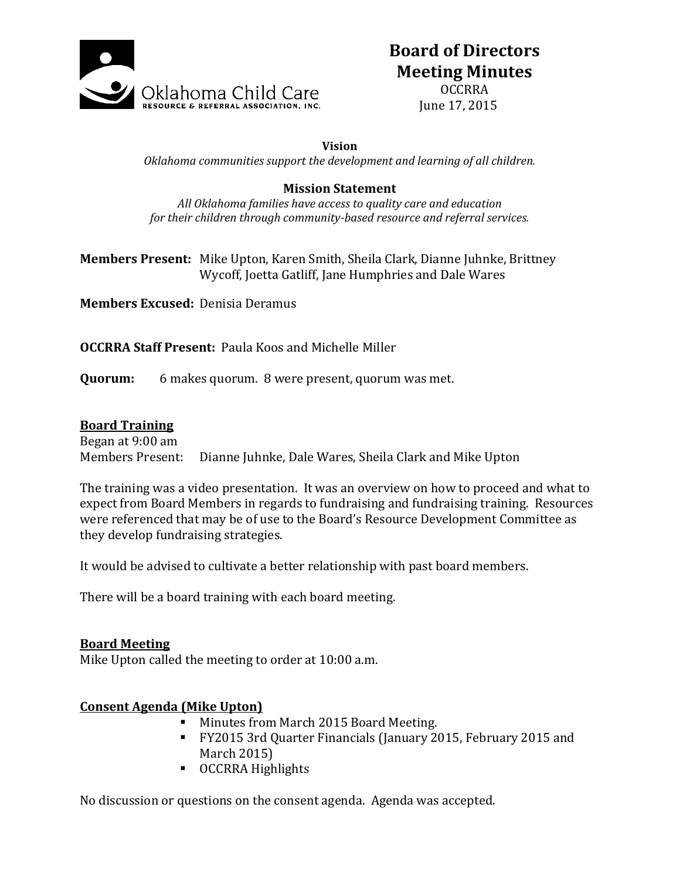

# **Board of Directors Meeting Minutes**

OCCRRA June 17, 2015

#### **Vision**

*Oklahoma communities support the development and learning of all children.*

### **Mission Statement**

*All Oklahoma families have access to quality care and education for their children through community-based resource and referral services.*

**Members Present:** Mike Upton, Karen Smith, Sheila Clark, Dianne Juhnke, Brittney Wycoff, Joetta Gatliff, Jane Humphries and Dale Wares

**Members Excused:** Denisia Deramus

**OCCRRA Staff Present:** Paula Koos and Michelle Miller

**Quorum:** 6 makes quorum. 8 were present, quorum was met.

### **Board Training**

Began at 9:00 am Members Present: Dianne Juhnke, Dale Wares, Sheila Clark and Mike Upton

The training was a video presentation. It was an overview on how to proceed and what to expect from Board Members in regards to fundraising and fundraising training. Resources were referenced that may be of use to the Board's Resource Development Committee as they develop fundraising strategies.

It would be advised to cultivate a better relationship with past board members.

There will be a board training with each board meeting.

### **Board Meeting**

Mike Upton called the meeting to order at 10:00 a.m.

## **Consent Agenda (Mike Upton)**

- **Minutes from March 2015 Board Meeting.**
- FY2015 3rd Quarter Financials (January 2015, February 2015 and March 2015)
- **CCRRA Highlights**

No discussion or questions on the consent agenda. Agenda was accepted.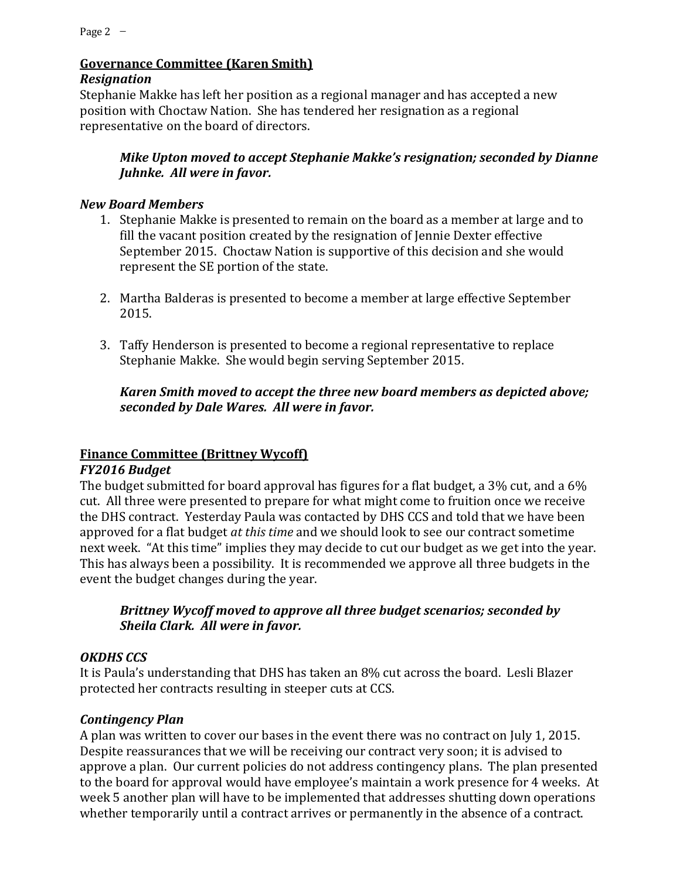# **Governance Committee (Karen Smith)**

# *Resignation*

Stephanie Makke has left her position as a regional manager and has accepted a new position with Choctaw Nation. She has tendered her resignation as a regional representative on the board of directors.

# *Mike Upton moved to accept Stephanie Makke's resignation; seconded by Dianne Juhnke. All were in favor.*

# *New Board Members*

- 1. Stephanie Makke is presented to remain on the board as a member at large and to fill the vacant position created by the resignation of Jennie Dexter effective September 2015. Choctaw Nation is supportive of this decision and she would represent the SE portion of the state.
- 2. Martha Balderas is presented to become a member at large effective September 2015.
- 3. Taffy Henderson is presented to become a regional representative to replace Stephanie Makke. She would begin serving September 2015.

# *Karen Smith moved to accept the three new board members as depicted above; seconded by Dale Wares. All were in favor.*

# **Finance Committee (Brittney Wycoff)**

# *FY2016 Budget*

The budget submitted for board approval has figures for a flat budget, a 3% cut, and a 6% cut. All three were presented to prepare for what might come to fruition once we receive the DHS contract. Yesterday Paula was contacted by DHS CCS and told that we have been approved for a flat budget *at this time* and we should look to see our contract sometime next week. "At this time" implies they may decide to cut our budget as we get into the year. This has always been a possibility. It is recommended we approve all three budgets in the event the budget changes during the year.

# *Brittney Wycoff moved to approve all three budget scenarios; seconded by Sheila Clark. All were in favor.*

# *OKDHS CCS*

It is Paula's understanding that DHS has taken an 8% cut across the board. Lesli Blazer protected her contracts resulting in steeper cuts at CCS.

# *Contingency Plan*

A plan was written to cover our bases in the event there was no contract on July 1, 2015. Despite reassurances that we will be receiving our contract very soon; it is advised to approve a plan. Our current policies do not address contingency plans. The plan presented to the board for approval would have employee's maintain a work presence for 4 weeks. At week 5 another plan will have to be implemented that addresses shutting down operations whether temporarily until a contract arrives or permanently in the absence of a contract.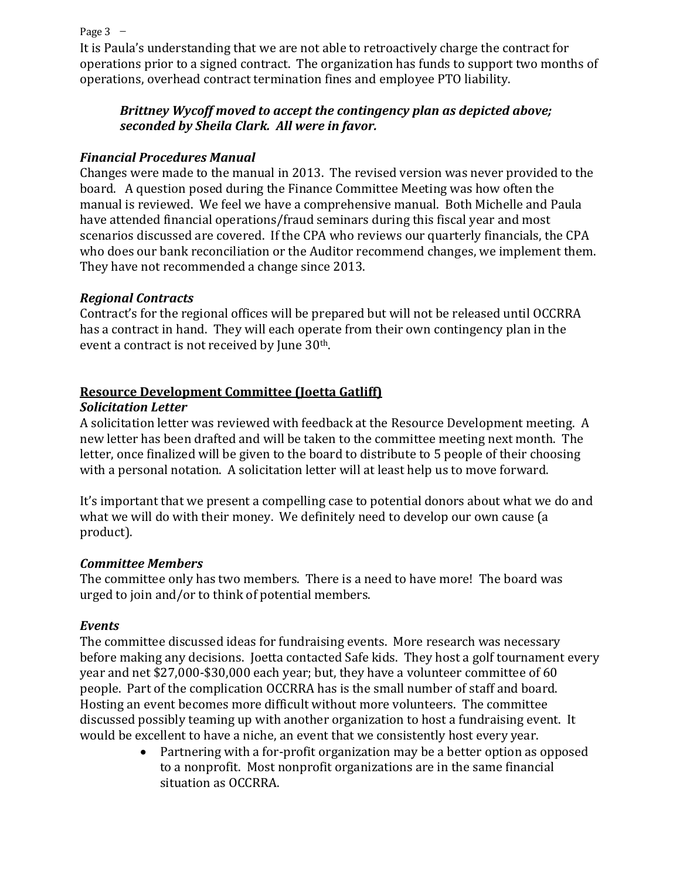Page  $3 -$ 

It is Paula's understanding that we are not able to retroactively charge the contract for operations prior to a signed contract. The organization has funds to support two months of operations, overhead contract termination fines and employee PTO liability.

## *Brittney Wycoff moved to accept the contingency plan as depicted above; seconded by Sheila Clark. All were in favor.*

## *Financial Procedures Manual*

Changes were made to the manual in 2013. The revised version was never provided to the board. A question posed during the Finance Committee Meeting was how often the manual is reviewed. We feel we have a comprehensive manual. Both Michelle and Paula have attended financial operations/fraud seminars during this fiscal year and most scenarios discussed are covered. If the CPA who reviews our quarterly financials, the CPA who does our bank reconciliation or the Auditor recommend changes, we implement them. They have not recommended a change since 2013.

# *Regional Contracts*

Contract's for the regional offices will be prepared but will not be released until OCCRRA has a contract in hand. They will each operate from their own contingency plan in the event a contract is not received by June 30th.

# **Resource Development Committee (Joetta Gatliff)**

## *Solicitation Letter*

A solicitation letter was reviewed with feedback at the Resource Development meeting. A new letter has been drafted and will be taken to the committee meeting next month. The letter, once finalized will be given to the board to distribute to 5 people of their choosing with a personal notation. A solicitation letter will at least help us to move forward.

It's important that we present a compelling case to potential donors about what we do and what we will do with their money. We definitely need to develop our own cause (a product).

## *Committee Members*

The committee only has two members. There is a need to have more! The board was urged to join and/or to think of potential members.

## *Events*

The committee discussed ideas for fundraising events. More research was necessary before making any decisions. Joetta contacted Safe kids. They host a golf tournament every year and net \$27,000-\$30,000 each year; but, they have a volunteer committee of 60 people. Part of the complication OCCRRA has is the small number of staff and board. Hosting an event becomes more difficult without more volunteers. The committee discussed possibly teaming up with another organization to host a fundraising event. It would be excellent to have a niche, an event that we consistently host every year.

 Partnering with a for-profit organization may be a better option as opposed to a nonprofit. Most nonprofit organizations are in the same financial situation as OCCRRA.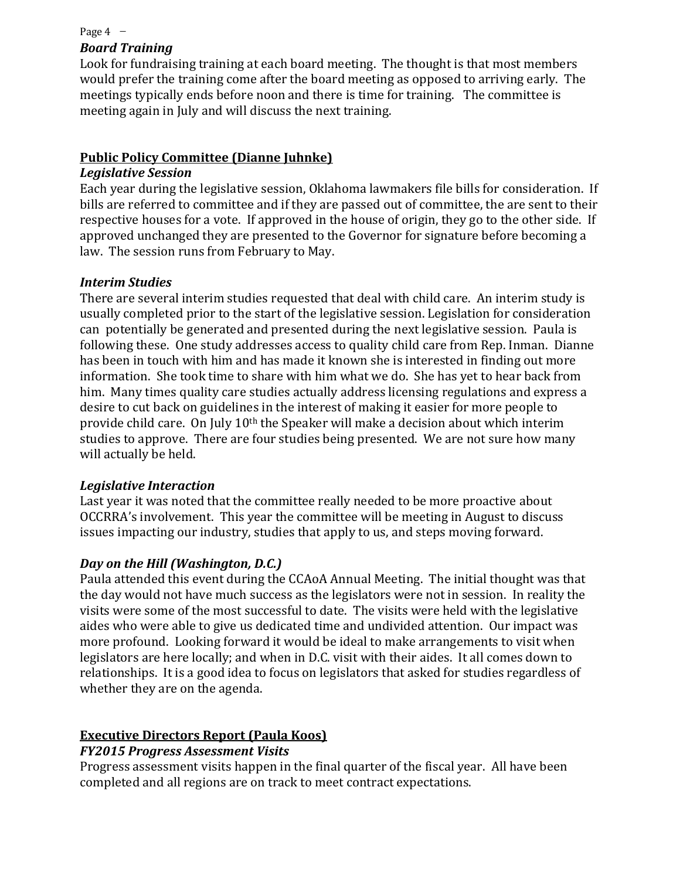#### Page  $4 -$

## *Board Training*

Look for fundraising training at each board meeting. The thought is that most members would prefer the training come after the board meeting as opposed to arriving early. The meetings typically ends before noon and there is time for training. The committee is meeting again in July and will discuss the next training.

## **Public Policy Committee (Dianne Juhnke)**

### *Legislative Session*

Each year during the legislative session, Oklahoma lawmakers file bills for consideration. If bills are referred to committee and if they are passed out of committee, the are sent to their respective houses for a vote. If approved in the house of origin, they go to the other side. If approved unchanged they are presented to the Governor for signature before becoming a law. The session runs from February to May.

### *Interim Studies*

There are several interim studies requested that deal with child care. An interim study is usually completed prior to the start of the legislative session. Legislation for consideration can potentially be generated and presented during the next legislative session. Paula is following these. One study addresses access to quality child care from Rep. Inman. Dianne has been in touch with him and has made it known she is interested in finding out more information. She took time to share with him what we do. She has yet to hear back from him. Many times quality care studies actually address licensing regulations and express a desire to cut back on guidelines in the interest of making it easier for more people to provide child care. On July 10th the Speaker will make a decision about which interim studies to approve. There are four studies being presented. We are not sure how many will actually be held.

## *Legislative Interaction*

Last year it was noted that the committee really needed to be more proactive about OCCRRA's involvement. This year the committee will be meeting in August to discuss issues impacting our industry, studies that apply to us, and steps moving forward.

## *Day on the Hill (Washington, D.C.)*

Paula attended this event during the CCAoA Annual Meeting. The initial thought was that the day would not have much success as the legislators were not in session. In reality the visits were some of the most successful to date. The visits were held with the legislative aides who were able to give us dedicated time and undivided attention. Our impact was more profound. Looking forward it would be ideal to make arrangements to visit when legislators are here locally; and when in D.C. visit with their aides. It all comes down to relationships. It is a good idea to focus on legislators that asked for studies regardless of whether they are on the agenda.

### **Executive Directors Report (Paula Koos)** *FY2015 Progress Assessment Visits*

Progress assessment visits happen in the final quarter of the fiscal year. All have been completed and all regions are on track to meet contract expectations.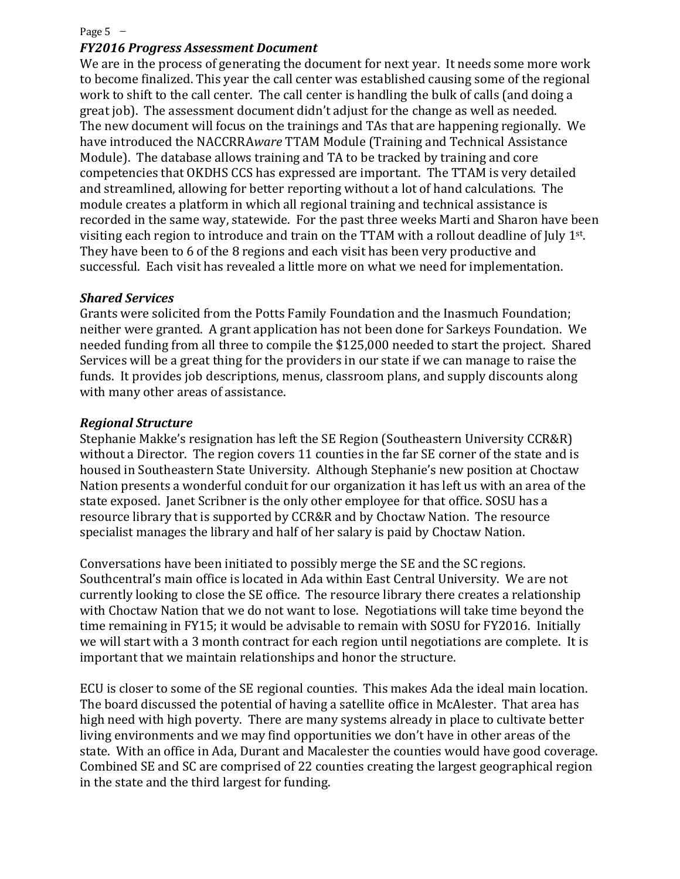#### Page  $5 -$

#### *FY2016 Progress Assessment Document*

We are in the process of generating the document for next year. It needs some more work to become finalized. This year the call center was established causing some of the regional work to shift to the call center. The call center is handling the bulk of calls (and doing a great job). The assessment document didn't adjust for the change as well as needed. The new document will focus on the trainings and TAs that are happening regionally. We have introduced the NACCRRA*ware* TTAM Module (Training and Technical Assistance Module). The database allows training and TA to be tracked by training and core competencies that OKDHS CCS has expressed are important. The TTAM is very detailed and streamlined, allowing for better reporting without a lot of hand calculations. The module creates a platform in which all regional training and technical assistance is recorded in the same way, statewide. For the past three weeks Marti and Sharon have been visiting each region to introduce and train on the TTAM with a rollout deadline of July 1st. They have been to 6 of the 8 regions and each visit has been very productive and successful. Each visit has revealed a little more on what we need for implementation.

#### *Shared Services*

Grants were solicited from the Potts Family Foundation and the Inasmuch Foundation; neither were granted. A grant application has not been done for Sarkeys Foundation. We needed funding from all three to compile the \$125,000 needed to start the project. Shared Services will be a great thing for the providers in our state if we can manage to raise the funds. It provides job descriptions, menus, classroom plans, and supply discounts along with many other areas of assistance.

#### *Regional Structure*

Stephanie Makke's resignation has left the SE Region (Southeastern University CCR&R) without a Director. The region covers 11 counties in the far SE corner of the state and is housed in Southeastern State University. Although Stephanie's new position at Choctaw Nation presents a wonderful conduit for our organization it has left us with an area of the state exposed. Janet Scribner is the only other employee for that office. SOSU has a resource library that is supported by CCR&R and by Choctaw Nation. The resource specialist manages the library and half of her salary is paid by Choctaw Nation.

Conversations have been initiated to possibly merge the SE and the SC regions. Southcentral's main office is located in Ada within East Central University. We are not currently looking to close the SE office. The resource library there creates a relationship with Choctaw Nation that we do not want to lose. Negotiations will take time beyond the time remaining in FY15; it would be advisable to remain with SOSU for FY2016. Initially we will start with a 3 month contract for each region until negotiations are complete. It is important that we maintain relationships and honor the structure.

ECU is closer to some of the SE regional counties. This makes Ada the ideal main location. The board discussed the potential of having a satellite office in McAlester. That area has high need with high poverty. There are many systems already in place to cultivate better living environments and we may find opportunities we don't have in other areas of the state. With an office in Ada, Durant and Macalester the counties would have good coverage. Combined SE and SC are comprised of 22 counties creating the largest geographical region in the state and the third largest for funding.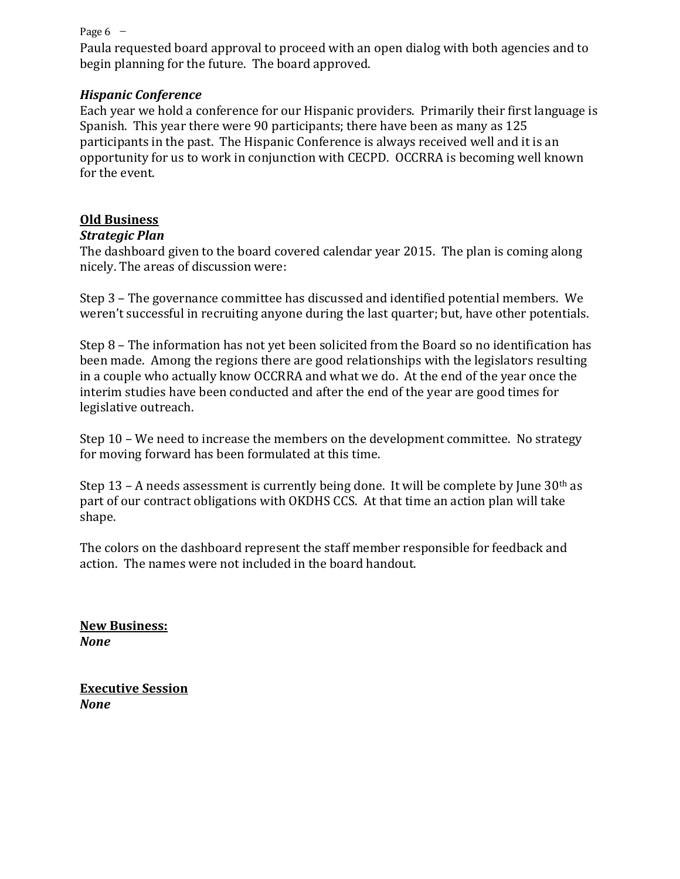#### Page  $6 -$

Paula requested board approval to proceed with an open dialog with both agencies and to begin planning for the future. The board approved.

### *Hispanic Conference*

Each year we hold a conference for our Hispanic providers. Primarily their first language is Spanish. This year there were 90 participants; there have been as many as 125 participants in the past. The Hispanic Conference is always received well and it is an opportunity for us to work in conjunction with CECPD. OCCRRA is becoming well known for the event.

## **Old Business**

### *Strategic Plan*

The dashboard given to the board covered calendar year 2015. The plan is coming along nicely. The areas of discussion were:

Step 3 – The governance committee has discussed and identified potential members. We weren't successful in recruiting anyone during the last quarter; but, have other potentials.

Step 8 – The information has not yet been solicited from the Board so no identification has been made. Among the regions there are good relationships with the legislators resulting in a couple who actually know OCCRRA and what we do. At the end of the year once the interim studies have been conducted and after the end of the year are good times for legislative outreach.

Step 10 – We need to increase the members on the development committee. No strategy for moving forward has been formulated at this time.

Step 13 – A needs assessment is currently being done. It will be complete by June  $30<sup>th</sup>$  as part of our contract obligations with OKDHS CCS. At that time an action plan will take shape.

The colors on the dashboard represent the staff member responsible for feedback and action. The names were not included in the board handout.

**New Business:**  *None*

**Executive Session** *None*